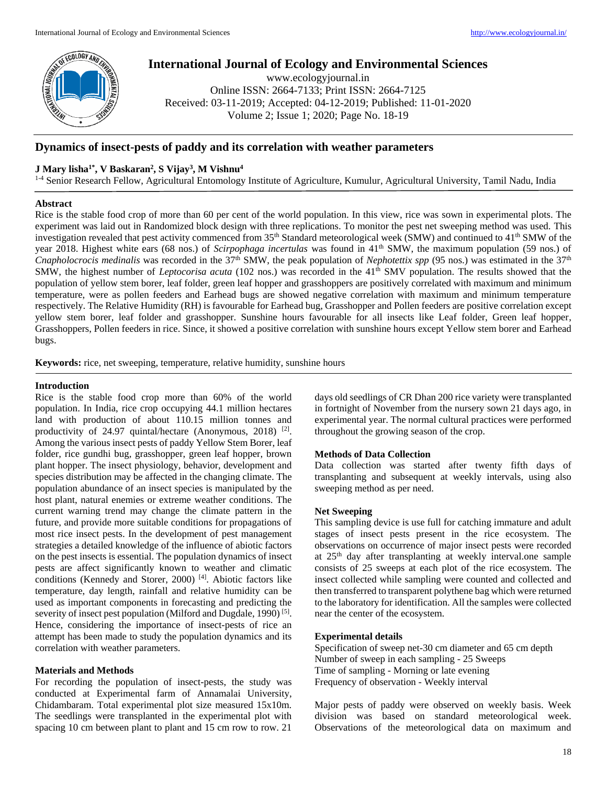

# **International Journal of Ecology and Environmental Sciences**

www.ecologyjournal.in Online ISSN: 2664-7133; Print ISSN: 2664-7125 Received: 03-11-2019; Accepted: 04-12-2019; Published: 11-01-2020 Volume 2; Issue 1; 2020; Page No. 18-19

## **Dynamics of insect-pests of paddy and its correlation with weather parameters**

## **J Mary lisha1\*, V Baskaran<sup>2</sup> , S Vijay<sup>3</sup> , M Vishnu<sup>4</sup>**

<sup>1-4</sup> Senior Research Fellow, Agricultural Entomology Institute of Agriculture, Kumulur, Agricultural University, Tamil Nadu, India

#### **Abstract**

Rice is the stable food crop of more than 60 per cent of the world population. In this view, rice was sown in experimental plots. The experiment was laid out in Randomized block design with three replications. To monitor the pest net sweeping method was used. This investigation revealed that pest activity commenced from 35<sup>th</sup> Standard meteorological week (SMW) and continued to 41<sup>th</sup> SMW of the year 2018. Highest white ears (68 nos.) of *Scirpophaga incertulas* was found in 41<sup>th</sup> SMW, the maximum population (59 nos.) of *Cnapholocrocis medinalis* was recorded in the 37<sup>th</sup> SMW, the peak population of *Nephotettix spp* (95 nos.) was estimated in the 37<sup>th</sup> SMW, the highest number of *Leptocorisa acuta* (102 nos.) was recorded in the 41<sup>th</sup> SMV population. The results showed that the population of yellow stem borer, leaf folder, green leaf hopper and grasshoppers are positively correlated with maximum and minimum temperature, were as pollen feeders and Earhead bugs are showed negative correlation with maximum and minimum temperature respectively. The Relative Humidity (RH) is favourable for Earhead bug, Grasshopper and Pollen feeders are positive correlation except yellow stem borer, leaf folder and grasshopper. Sunshine hours favourable for all insects like Leaf folder, Green leaf hopper, Grasshoppers, Pollen feeders in rice. Since, it showed a positive correlation with sunshine hours except Yellow stem borer and Earhead bugs.

**Keywords:** rice, net sweeping, temperature, relative humidity, sunshine hours

#### **Introduction**

Rice is the stable food crop more than 60% of the world population. In India, rice crop occupying 44.1 million hectares land with production of about 110.15 million tonnes and productivity of 24.97 quintal/hectare (Anonymous, 2018)<sup>[2]</sup>. Among the various insect pests of paddy Yellow Stem Borer, leaf folder, rice gundhi bug, grasshopper, green leaf hopper, brown plant hopper. The insect physiology, behavior, development and species distribution may be affected in the changing climate. The population abundance of an insect species is manipulated by the host plant, natural enemies or extreme weather conditions. The current warning trend may change the climate pattern in the future, and provide more suitable conditions for propagations of most rice insect pests. In the development of pest management strategies a detailed knowledge of the influence of abiotic factors on the pest insects is essential. The population dynamics of insect pests are affect significantly known to weather and climatic conditions (Kennedy and Storer, 2000) [4]. Abiotic factors like temperature, day length, rainfall and relative humidity can be used as important components in forecasting and predicting the severity of insect pest population (Milford and Dugdale, 1990)<sup>[5]</sup>. Hence, considering the importance of insect-pests of rice an attempt has been made to study the population dynamics and its correlation with weather parameters.

## **Materials and Methods**

For recording the population of insect-pests, the study was conducted at Experimental farm of Annamalai University, Chidambaram. Total experimental plot size measured 15x10m. The seedlings were transplanted in the experimental plot with spacing 10 cm between plant to plant and 15 cm row to row. 21

days old seedlings of CR Dhan 200 rice variety were transplanted in fortnight of November from the nursery sown 21 days ago, in experimental year. The normal cultural practices were performed throughout the growing season of the crop.

#### **Methods of Data Collection**

Data collection was started after twenty fifth days of transplanting and subsequent at weekly intervals, using also sweeping method as per need.

#### **Net Sweeping**

This sampling device is use full for catching immature and adult stages of insect pests present in the rice ecosystem. The observations on occurrence of major insect pests were recorded at 25th day after transplanting at weekly interval.one sample consists of 25 sweeps at each plot of the rice ecosystem. The insect collected while sampling were counted and collected and then transferred to transparent polythene bag which were returned to the laboratory for identification. All the samples were collected near the center of the ecosystem.

## **Experimental details**

Specification of sweep net-30 cm diameter and 65 cm depth Number of sweep in each sampling - 25 Sweeps Time of sampling - Morning or late evening Frequency of observation - Weekly interval

Major pests of paddy were observed on weekly basis. Week division was based on standard meteorological week. Observations of the meteorological data on maximum and